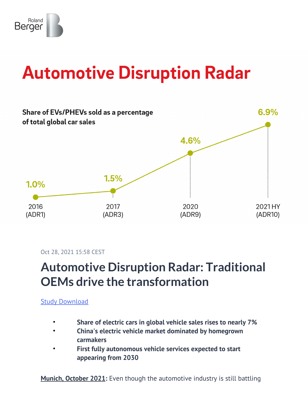

# **Automotive Disruption Radar**



Oct 28, 2021 15:58 CEST

## **Automotive Disruption Radar: Traditional OEMs drive the transformation**

[Study Download](https://content.rolandberger.com/hubfs/07_presse/RB_SAL_21_020_FLY_ADR10_FINAL_Spreads.pdf)

- **Share of electric cars in global vehicle sales rises to nearly 7%**
- **China's electric vehicle market dominated by homegrown carmakers**
- **First fully autonomous vehicle services expected to start appearing from 2030**

**Munich, October 2021:** Even though the automotive industry is still battling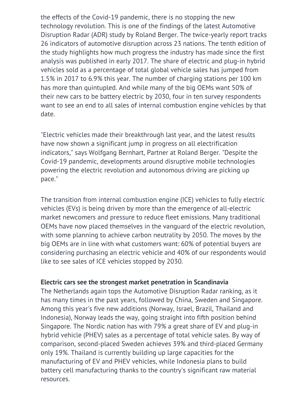the effects of the Covid-19 pandemic, there is no stopping the new technology revolution. This is one of the findings of the latest Automotive Disruption Radar (ADR) study by Roland Berger. The twice-yearly report tracks 26 indicators of automotive disruption across 23 nations. The tenth edition of the study highlights how much progress the industry has made since the first analysis was published in early 2017. The share of electric and plug-in hybrid vehicles sold as a percentage of total global vehicle sales has jumped from 1.5% in 2017 to 6.9% this year. The number of charging stations per 100 km has more than quintupled. And while many of the big OEMs want 50% of their new cars to be battery electric by 2030, four in ten survey respondents want to see an end to all sales of internal combustion engine vehicles by that date.

"Electric vehicles made their breakthrough last year, and the latest results have now shown a significant jump in progress on all electrification indicators," says Wolfgang Bernhart, Partner at Roland Berger. "Despite the Covid-19 pandemic, developments around disruptive mobile technologies powering the electric revolution and autonomous driving are picking up pace."

The transition from internal combustion engine (ICE) vehicles to fully electric vehicles (EVs) is being driven by more than the emergence of all-electric market newcomers and pressure to reduce fleet emissions. Many traditional OEMs have now placed themselves in the vanguard of the electric revolution, with some planning to achieve carbon neutrality by 2050. The moves by the big OEMs are in line with what customers want: 60% of potential buyers are considering purchasing an electric vehicle and 40% of our respondents would like to see sales of ICE vehicles stopped by 2030.

#### **Electric cars see the strongest market penetration in Scandinavia**

The Netherlands again tops the Automotive Disruption Radar ranking, as it has many times in the past years, followed by China, Sweden and Singapore. Among this year's five new additions (Norway, Israel, Brazil, Thailand and Indonesia), Norway leads the way, going straight into fifth position behind Singapore. The Nordic nation has with 79% a great share of EV and plug-in hybrid vehicle (PHEV) sales as a percentage of total vehicle sales. By way of comparison, second-placed Sweden achieves 39% and third-placed Germany only 19%. Thailand is currently building up large capacities for the manufacturing of EV and PHEV vehicles, while Indonesia plans to build battery cell manufacturing thanks to the country's significant raw material resources.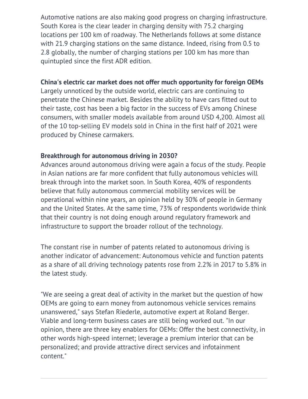Automotive nations are also making good progress on charging infrastructure. South Korea is the clear leader in charging density with 75.2 charging locations per 100 km of roadway. The Netherlands follows at some distance with 21.9 charging stations on the same distance. Indeed, rising from 0.5 to 2.8 globally, the number of charging stations per 100 km has more than quintupled since the first ADR edition.

#### **China's electric car market does not offer much opportunity for foreign OEMs**

Largely unnoticed by the outside world, electric cars are continuing to penetrate the Chinese market. Besides the ability to have cars fitted out to their taste, cost has been a big factor in the success of EVs among Chinese consumers, with smaller models available from around USD 4,200. Almost all of the 10 top-selling EV models sold in China in the first half of 2021 were produced by Chinese carmakers.

### **Breakthrough for autonomous driving in 2030?**

Advances around autonomous driving were again a focus of the study. People in Asian nations are far more confident that fully autonomous vehicles will break through into the market soon. In South Korea, 40% of respondents believe that fully autonomous commercial mobility services will be operational within nine years, an opinion held by 30% of people in Germany and the United States. At the same time, 73% of respondents worldwide think that their country is not doing enough around regulatory framework and infrastructure to support the broader rollout of the technology.

The constant rise in number of patents related to autonomous driving is another indicator of advancement: Autonomous vehicle and function patents as a share of all driving technology patents rose from 2.2% in 2017 to 5.8% in the latest study.

"We are seeing a great deal of activity in the market but the question of how OEMs are going to earn money from autonomous vehicle services remains unanswered," says Stefan Riederle, automotive expert at Roland Berger. Viable and long-term business cases are still being worked out. "In our opinion, there are three key enablers for OEMs: Offer the best connectivity, in other words high-speed internet; leverage a premium interior that can be personalized; and provide attractive direct services and infotainment content."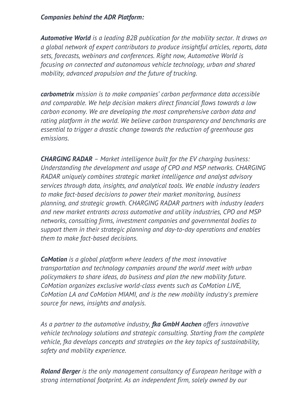#### *Companies behind the ADR Platform:*

*Automotive World is a leading B2B publication for the mobility sector. It draws on a global network of expert contributors to produce insightful articles, reports, data sets, forecasts, webinars and conferences. Right now, Automotive World is focusing on connected and autonomous vehicle technology, urban and shared mobility, advanced propulsion and the future of trucking.*

*carbometrix mission is to make companies' carbon performance data accessible and comparable. We help decision makers direct financial flows towards a low carbon economy. We are developing the most comprehensive carbon data and rating platform in the world. We believe carbon transparency and benchmarks are essential to trigger a drastic change towards the reduction of greenhouse gas emissions.*

*CHARGING RADAR – Market intelligence built for the EV charging business: Understanding the development and usage of CPO and MSP networks. CHARGING RADAR uniquely combines strategic market intelligence and analyst advisory services through data, insights, and analytical tools. We enable industry leaders to make fact-based decisions to power their market monitoring, business planning, and strategic growth. CHARGING RADAR partners with industry leaders and new market entrants across automotive and utility industries, CPO and MSP networks, consulting firms, investment companies and governmental bodies to support them in their strategic planning and day-to-day operations and enables them to make fact-based decisions.*

*CoMotion is a global platform where leaders of the most innovative transportation and technology companies around the world meet with urban policymakers to share ideas, do business and plan the new mobility future. CoMotion organizes exclusive world-class events such as CoMotion LIVE, CoMotion LA and CoMotion MIAMI, and is the new mobility industry's premiere source for news, insights and analysis.*

*As a partner to the automotive industry, fka GmbH Aachen offers innovative vehicle technology solutions and strategic consulting. Starting from the complete vehicle, fka develops concepts and strategies on the key topics of sustainability, safety and mobility experience.*

*Roland Berger is the only management consultancy of European heritage with a strong international footprint. As an independent firm, solely owned by our*